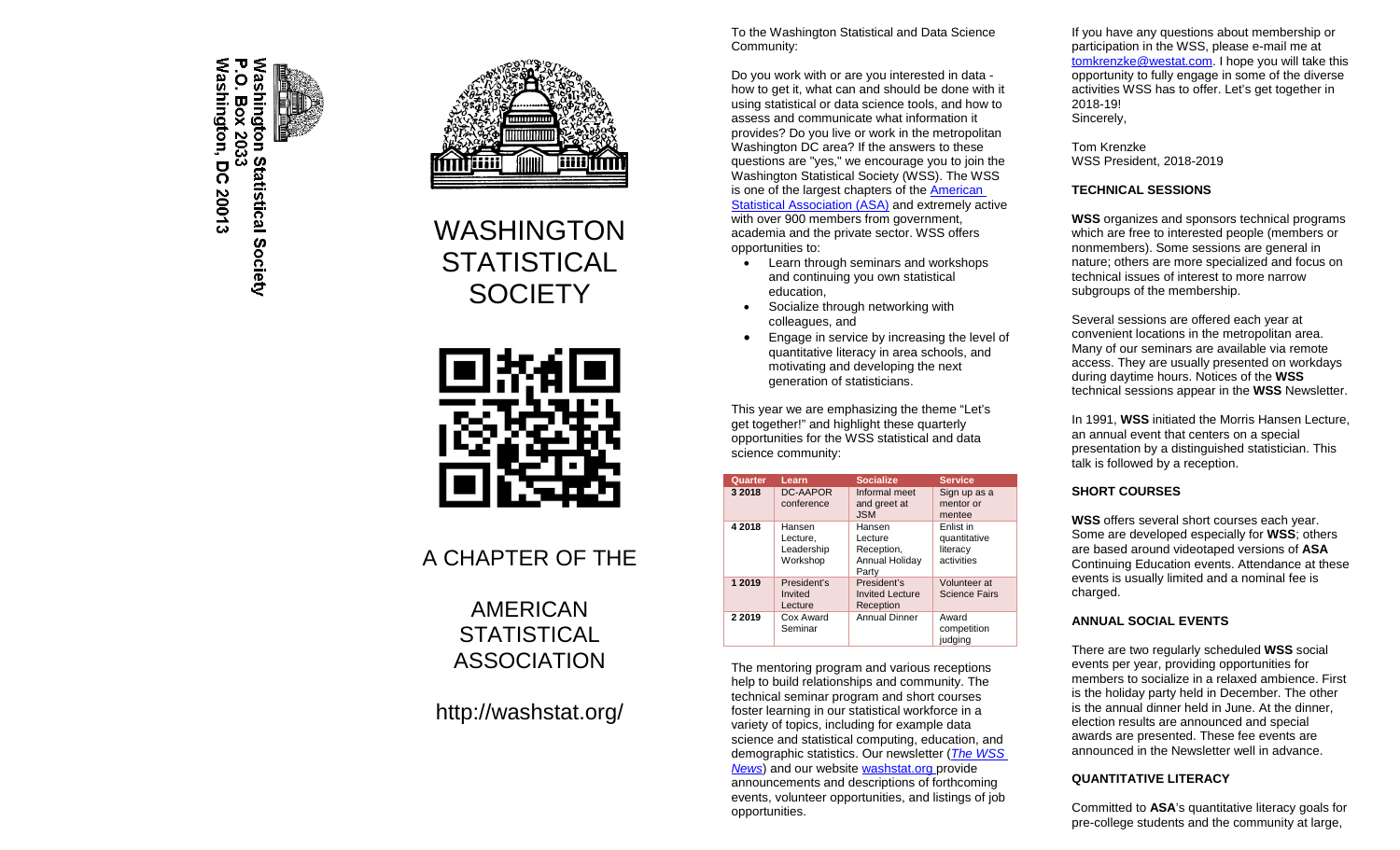

Washington Statistical Society<br>Romashington Statistical Society



# WASHINGTON **STATISTICAL SOCIETY**



## A CHAPTER OF THE

AMERICAN **STATISTICAL** ASSOCIATION

### http://washstat.org/

To the Washington Statistical and Data Science Community:

Do you work with or are you interested in data how to get it, what can and should be done with it using statistical or data science tools, and how to assess and communicate what information it provides? Do you live or work in the metropolitan Washington DC area? If the answers to these questions are "yes," we encourage you to join the Washington Statistical Society (WSS). The WSS is one of the largest chapters of th[e American](http://amstat.org/)  [Statistical Association \(ASA\)](http://amstat.org/) and extremely active with over 900 members from government, academia and the private sector. WSS offers opportunities to:

- Learn through seminars and workshops and continuing you own statistical education,
- Socialize through networking with colleagues, and
- Engage in service by increasing the level of quantitative literacy in area schools, and motivating and developing the next generation of statisticians.

This year we are emphasizing the theme "Let's get together!" and highlight these quarterly opportunities for the WSS statistical and data science community:

| Quarter   | Learn                                        | <b>Socialize</b>                                           | <b>Service</b>                                      |
|-----------|----------------------------------------------|------------------------------------------------------------|-----------------------------------------------------|
| 3 2018    | DC-AAPOR<br>conference                       | Informal meet<br>and greet at<br><b>JSM</b>                | Sign up as a<br>mentor or<br>mentee                 |
| 4 2018    | Hansen<br>Lecture,<br>Leadership<br>Workshop | Hansen<br>Lecture<br>Reception,<br>Annual Holiday<br>Party | Enlist in<br>quantitative<br>literacy<br>activities |
| 1 2019    | President's<br>Invited<br>Lecture            | President's<br><b>Invited Lecture</b><br>Reception         | Volunteer at<br><b>Science Fairs</b>                |
| 2 2 0 1 9 | Cox Award<br>Seminar                         | <b>Annual Dinner</b>                                       | Award<br>competition<br>judging                     |

The mentoring program and various receptions help to build relationships and community. The technical seminar program and short courses foster learning in our statistical workforce in a variety of topics, including for example data science and statistical computing, education, and demographic statistics. Our newsletter (*[The WSS](http://washstat.org/newsletters)  [News](http://washstat.org/newsletters)*) and our websit[e washstat.org](http://washstat.org/) provide announcements and descriptions of forthcoming events, volunteer opportunities, and listings of job opportunities.

If you have any questions about membership or participation in the WSS, please e-mail me at [tomkrenzke@westat.com.](mailto:tomkrenzke@westat.com) I hope you will take this opportunity to fully engage in some of the diverse activities WSS has to offer. Let's get together in 2018-19! Sincerely,

Tom Krenzke WSS President, 2018-2019

#### **TECHNICAL SESSIONS**

**WSS** organizes and sponsors technical programs which are free to interested people (members or nonmembers). Some sessions are general in nature; others are more specialized and focus on technical issues of interest to more narrow subgroups of the membership.

Several sessions are offered each year at convenient locations in the metropolitan area. Many of our seminars are available via remote access. They are usually presented on workdays during daytime hours. Notices of the **WSS** technical sessions appear in the **WSS** Newsletter.

In 1991, **WSS** initiated the Morris Hansen Lecture, an annual event that centers on a special presentation by a distinguished statistician. This talk is followed by a reception.

#### **SHORT COURSES**

**WSS** offers several short courses each year. Some are developed especially for **WSS**; others are based around videotaped versions of **ASA** Continuing Education events. Attendance at these events is usually limited and a nominal fee is charged.

#### **ANNUAL SOCIAL EVENTS**

There are two regularly scheduled **WSS** social events per year, providing opportunities for members to socialize in a relaxed ambience. First is the holiday party held in December. The other is the annual dinner held in June. At the dinner, election results are announced and special awards are presented. These fee events are announced in the Newsletter well in advance.

#### **QUANTITATIVE LITERACY**

Committed to **ASA**'s quantitative literacy goals for pre-college students and the community at large,